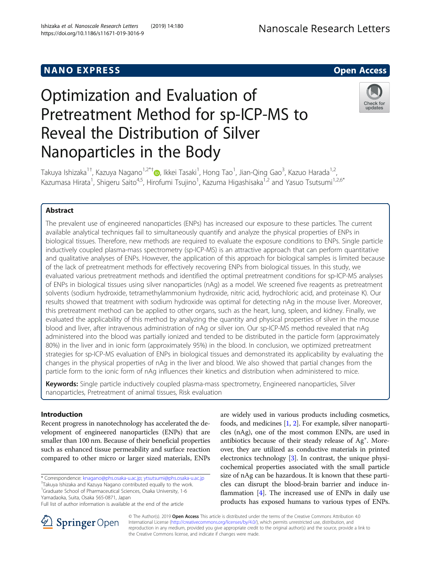## **NANO EXPRESS CONTROL**



# Optimization and Evaluation of Pretreatment Method for sp-ICP-MS to Reveal the Distribution of Silver Nanoparticles in the Body



Takuya Ishizaka<sup>1[†](http://orcid.org/0000-0001-7581-0364)</sup>, Kazuya Nagano<sup>1,2\*†</sup>®, Ikkei Tasaki<sup>1</sup>, Hong Tao<sup>1</sup>, Jian-Qing Gao<sup>3</sup>, Kazuo Harada<sup>1,2</sup>, Kazumasa Hirata<sup>1</sup>, Shigeru Saito<sup>4,5</sup>, Hirofumi Tsujino<sup>1</sup>, Kazuma Higashisaka<sup>1,2</sup> and Yasuo Tsutsumi<sup>1,2,6\*</sup>

## Abstract

The prevalent use of engineered nanoparticles (ENPs) has increased our exposure to these particles. The current available analytical techniques fail to simultaneously quantify and analyze the physical properties of ENPs in biological tissues. Therefore, new methods are required to evaluate the exposure conditions to ENPs. Single particle inductively coupled plasma-mass spectrometry (sp-ICP-MS) is an attractive approach that can perform quantitative and qualitative analyses of ENPs. However, the application of this approach for biological samples is limited because of the lack of pretreatment methods for effectively recovering ENPs from biological tissues. In this study, we evaluated various pretreatment methods and identified the optimal pretreatment conditions for sp-ICP-MS analyses of ENPs in biological tissues using silver nanoparticles (nAg) as a model. We screened five reagents as pretreatment solvents (sodium hydroxide, tetramethylammonium hydroxide, nitric acid, hydrochloric acid, and proteinase K). Our results showed that treatment with sodium hydroxide was optimal for detecting nAg in the mouse liver. Moreover, this pretreatment method can be applied to other organs, such as the heart, lung, spleen, and kidney. Finally, we evaluated the applicability of this method by analyzing the quantity and physical properties of silver in the mouse blood and liver, after intravenous administration of nAg or silver ion. Our sp-ICP-MS method revealed that nAg administered into the blood was partially ionized and tended to be distributed in the particle form (approximately 80%) in the liver and in ionic form (approximately 95%) in the blood. In conclusion, we optimized pretreatment strategies for sp-ICP-MS evaluation of ENPs in biological tissues and demonstrated its applicability by evaluating the changes in the physical properties of nAg in the liver and blood. We also showed that partial changes from the particle form to the ionic form of nAg influences their kinetics and distribution when administered to mice.

Keywords: Single particle inductively coupled plasma-mass spectrometry, Engineered nanoparticles, Silver nanoparticles, Pretreatment of animal tissues, Risk evaluation

## Introduction

Recent progress in nanotechnology has accelerated the development of engineered nanoparticles (ENPs) that are smaller than 100 nm. Because of their beneficial properties such as enhanced tissue permeability and surface reaction compared to other micro or larger sized materials, ENPs

\* Correspondence: [knagano@phs.osaka-u.ac.jp](mailto:knagano@phs.osaka-u.ac.jp); [ytsutsumi@phs.osaka-u.ac.jp](mailto:ytsutsumi@phs.osaka-u.ac.jp) †

Takuya Ishizaka and Kazuya Nagano contributed equally to the work.

<sup>1</sup>Graduate School of Pharmaceutical Sciences, Osaka University, 1-6 Yamadaoka, Suita, Osaka 565-0871, Japan

Full list of author information is available at the end of the article

are widely used in various products including cosmetics, foods, and medicines [\[1](#page-6-0), [2\]](#page-6-0). For example, silver nanoparticles (nAg), one of the most common ENPs, are used in antibiotics because of their steady release of Ag<sup>+</sup>. Moreover, they are utilized as conductive materials in printed electronics technology [\[3\]](#page-6-0). In contrast, the unique physicochemical properties associated with the small particle size of nAg can be hazardous. It is known that these particles can disrupt the blood-brain barrier and induce inflammation  $[4]$ . The increased use of ENPs in daily use products has exposed humans to various types of ENPs.



© The Author(s). 2019 Open Access This article is distributed under the terms of the Creative Commons Attribution 4.0 International License ([http://creativecommons.org/licenses/by/4.0/\)](http://creativecommons.org/licenses/by/4.0/), which permits unrestricted use, distribution, and reproduction in any medium, provided you give appropriate credit to the original author(s) and the source, provide a link to the Creative Commons license, and indicate if changes were made.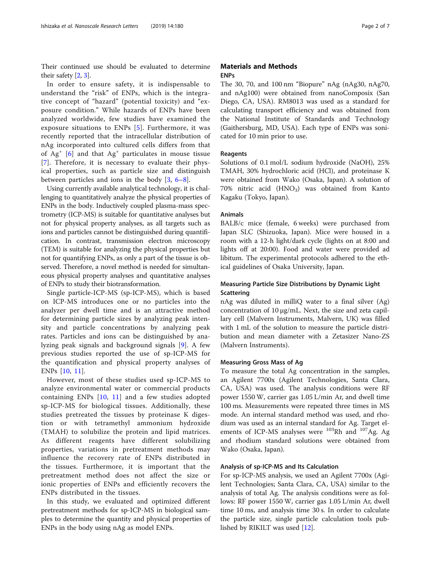Their continued use should be evaluated to determine their safety [\[2](#page-6-0), [3\]](#page-6-0).

In order to ensure safety, it is indispensable to understand the "risk" of ENPs, which is the integrative concept of "hazard" (potential toxicity) and "exposure condition." While hazards of ENPs have been analyzed worldwide, few studies have examined the exposure situations to ENPs [[5\]](#page-6-0). Furthermore, it was recently reported that the intracellular distribution of nAg incorporated into cultured cells differs from that of  $Ag<sup>+</sup>$  [[6\]](#page-6-0) and that  $Ag<sup>+</sup>$  particulates in mouse tissue [[7\]](#page-6-0). Therefore, it is necessary to evaluate their physical properties, such as particle size and distinguish between particles and ions in the body [[3,](#page-6-0) [6](#page-6-0)–[8\]](#page-6-0).

Using currently available analytical technology, it is challenging to quantitatively analyze the physical properties of ENPs in the body. Inductively coupled plasma-mass spectrometry (ICP-MS) is suitable for quantitative analyses but not for physical property analyses, as all targets such as ions and particles cannot be distinguished during quantification. In contrast, transmission electron microscopy (TEM) is suitable for analyzing the physical properties but not for quantifying ENPs, as only a part of the tissue is observed. Therefore, a novel method is needed for simultaneous physical property analyses and quantitative analyses of ENPs to study their biotransformation.

Single particle-ICP-MS (sp-ICP-MS), which is based on ICP-MS introduces one or no particles into the analyzer per dwell time and is an attractive method for determining particle sizes by analyzing peak intensity and particle concentrations by analyzing peak rates. Particles and ions can be distinguished by analyzing peak signals and background signals [[9](#page-6-0)]. A few previous studies reported the use of sp-ICP-MS for the quantification and physical property analyses of ENPs [\[10](#page-6-0), [11\]](#page-6-0).

However, most of these studies used sp-ICP-MS to analyze environmental water or commercial products containing ENPs  $[10, 11]$  $[10, 11]$  $[10, 11]$  $[10, 11]$  $[10, 11]$  and a few studies adopted sp-ICP-MS for biological tissues. Additionally, these studies pretreated the tissues by proteinase K digestion or with tetramethyl ammonium hydroxide (TMAH) to solubilize the protein and lipid matrices. As different reagents have different solubilizing properties, variations in pretreatment methods may influence the recovery rate of ENPs distributed in the tissues. Furthermore, it is important that the pretreatment method does not affect the size or ionic properties of ENPs and efficiently recovers the ENPs distributed in the tissues.

In this study, we evaluated and optimized different pretreatment methods for sp-ICP-MS in biological samples to determine the quantity and physical properties of ENPs in the body using nAg as model ENPs.

## Materials and Methods **ENPs**

The 30, 70, and 100 nm "Biopure" nAg (nAg30, nAg70, and nAg100) were obtained from nanoComposix (San Diego, CA, USA). RM8013 was used as a standard for calculating transport efficiency and was obtained from the National Institute of Standards and Technology (Gaithersburg, MD, USA). Each type of ENPs was sonicated for 10 min prior to use.

#### Reagents

Solutions of 0.1 mol/L sodium hydroxide (NaOH), 25% TMAH, 30% hydrochloric acid (HCl), and proteinase K were obtained from Wako (Osaka, Japan). A solution of 70% nitric acid  $(HNO<sub>3</sub>)$  was obtained from Kanto Kagaku (Tokyo, Japan).

### Animals

BALB/c mice (female, 6 weeks) were purchased from Japan SLC (Shizuoka, Japan). Mice were housed in a room with a 12-h light/dark cycle (lights on at 8:00 and lights off at 20:00). Food and water were provided ad libitum. The experimental protocols adhered to the ethical guidelines of Osaka University, Japan.

## Measuring Particle Size Distributions by Dynamic Light **Scattering**

nAg was diluted in milliQ water to a final silver (Ag) concentration of 10 μg/mL. Next, the size and zeta capillary cell (Malvern Instruments, Malvern, UK) was filled with 1 mL of the solution to measure the particle distribution and mean diameter with a Zetasizer Nano-ZS (Malvern Instruments).

## Measuring Gross Mass of Ag

To measure the total Ag concentration in the samples, an Agilent 7700x (Agilent Technologies, Santa Clara, CA, USA) was used. The analysis conditions were RF power 1550 W, carrier gas 1.05 L/min Ar, and dwell time 100 ms. Measurements were repeated three times in MS mode. An internal standard method was used, and rhodium was used as an internal standard for Ag. Target elements of ICP-MS analyses were  $103$ Rh and  $107$ Ag. Ag and rhodium standard solutions were obtained from Wako (Osaka, Japan).

## Analysis of sp-ICP-MS and Its Calculation

For sp-ICP-MS analysis, we used an Agilent 7700x (Agilent Technologies; Santa Clara, CA, USA) similar to the analysis of total Ag. The analysis conditions were as follows: RF power 1550 W, carrier gas 1.05 L/min Ar, dwell time 10 ms, and analysis time 30 s. In order to calculate the particle size, single particle calculation tools published by RIKILT was used [\[12\]](#page-6-0).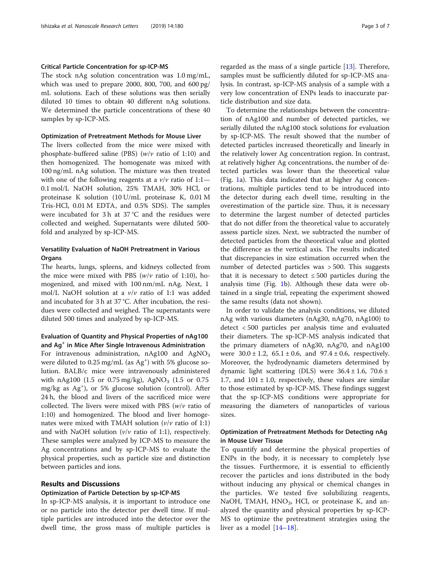### Critical Particle Concentration for sp-ICP-MS

The stock nAg solution concentration was 1.0 mg/mL, which was used to prepare 2000, 800, 700, and 600 pg/ mL solutions. Each of these solutions was then serially diluted 10 times to obtain 40 different nAg solutions. We determined the particle concentrations of these 40 samples by sp-ICP-MS.

#### Optimization of Pretreatment Methods for Mouse Liver

The livers collected from the mice were mixed with phosphate-buffered saline (PBS) ( $w/v$  ratio of 1:10) and then homogenized. The homogenate was mixed with 100 ng/mL nAg solution. The mixture was then treated with one of the following reagents at a  $v/v$  ratio of 1:1— 0.1 mol/L NaOH solution, 25% TMAH, 30% HCl, or proteinase K solution (10 U/mL proteinase K, 0.01 M Tris-HCl, 0.01 M EDTA, and 0.5% SDS). The samples were incubated for 3 h at 37 °C and the residues were collected and weighed. Supernatants were diluted 500 fold and analyzed by sp-ICP-MS.

## Versatility Evaluation of NaOH Pretreatment in Various **Organs**

The hearts, lungs, spleens, and kidneys collected from the mice were mixed with PBS  $(w/v \text{ ratio of } 1:10)$ , homogenized, and mixed with 100 nm/mL nAg. Next, 1 mol/L NaOH solution at a v/v ratio of 1:1 was added and incubated for 3 h at 37 °C. After incubation, the residues were collected and weighed. The supernatants were diluted 500 times and analyzed by sp-ICP-MS.

## Evaluation of Quantity and Physical Properties of nAg100 and Ag<sup>+</sup> in Mice After Single Intravenous Administration

For intravenous administration,  $nAg100$  and  $AgNO<sub>3</sub>$ were diluted to 0.25 mg/mL (as Ag<sup>+</sup>) with 5% glucose solution. BALB/c mice were intravenously administered with nAg100 (1.5 or 0.75 mg/kg), AgNO<sub>3</sub> (1.5 or 0.75) mg/kg as Ag<sup>+</sup> ), or 5% glucose solution (control). After 24 h, the blood and livers of the sacrificed mice were collected. The livers were mixed with PBS  $(w/v$  ratio of 1:10) and homogenized. The blood and liver homogenates were mixed with TMAH solution  $(v/v \text{ ratio of } 1:1)$ and with NaOH solution ( $v/v$  ratio of 1:1), respectively. These samples were analyzed by ICP-MS to measure the Ag concentrations and by sp-ICP-MS to evaluate the physical properties, such as particle size and distinction between particles and ions.

#### Results and Discussions

## Optimization of Particle Detection by sp-ICP-MS

In sp-ICP-MS analysis, it is important to introduce one or no particle into the detector per dwell time. If multiple particles are introduced into the detector over the dwell time, the gross mass of multiple particles is

regarded as the mass of a single particle  $[13]$  $[13]$ . Therefore, samples must be sufficiently diluted for sp-ICP-MS analysis. In contrast, sp-ICP-MS analysis of a sample with a very low concentration of ENPs leads to inaccurate particle distribution and size data.

To determine the relationships between the concentration of nAg100 and number of detected particles, we serially diluted the nAg100 stock solutions for evaluation by sp-ICP-MS. The result showed that the number of detected particles increased theoretically and linearly in the relatively lower Ag concentration region. In contrast, at relatively higher Ag concentrations, the number of detected particles was lower than the theoretical value (Fig. [1](#page-3-0)a). This data indicated that at higher Ag concentrations, multiple particles tend to be introduced into the detector during each dwell time, resulting in the overestimation of the particle size. Thus, it is necessary to determine the largest number of detected particles that do not differ from the theoretical value to accurately assess particle sizes. Next, we subtracted the number of detected particles from the theoretical value and plotted the difference as the vertical axis. The results indicated that discrepancies in size estimation occurred when the number of detected particles was > 500. This suggests that it is necessary to detect  $\leq 500$  particles during the analysis time (Fig. [1](#page-3-0)b). Although these data were obtained in a single trial, repeating the experiment showed the same results (data not shown).

In order to validate the analysis conditions, we diluted nAg with various diameters (nAg30, nAg70, nAg100) to detect < 500 particles per analysis time and evaluated their diameters. The sp-ICP-MS analysis indicated that the primary diameters of nAg30, nAg70, and nAg100 were  $30.0 \pm 1.2$ ,  $65.1 \pm 0.6$ , and  $97.4 \pm 0.6$ , respectively. Moreover, the hydrodynamic diameters determined by dynamic light scattering (DLS) were  $36.4 \pm 1.6$ ,  $70.6 \pm$ 1.7, and  $101 \pm 1.0$ , respectively, these values are similar to those estimated by sp-ICP-MS. These findings suggest that the sp-ICP-MS conditions were appropriate for measuring the diameters of nanoparticles of various sizes.

## Optimization of Pretreatment Methods for Detecting nAg in Mouse Liver Tissue

To quantify and determine the physical properties of ENPs in the body, it is necessary to completely lyse the tissues. Furthermore, it is essential to efficiently recover the particles and ions distributed in the body without inducing any physical or chemical changes in the particles. We tested five solubilizing reagents, NaOH, TMAH,  $HNO<sub>3</sub>$ , HCl, or proteinase K, and analyzed the quantity and physical properties by sp-ICP-MS to optimize the pretreatment strategies using the liver as a model [[14](#page-6-0)–[18\]](#page-6-0).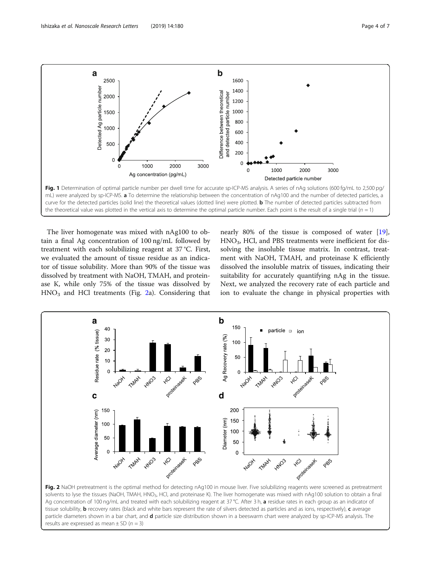<span id="page-3-0"></span>

The liver homogenate was mixed with nAg100 to obtain a final Ag concentration of 100 ng/mL followed by treatment with each solubilizing reagent at 37 °C. First, we evaluated the amount of tissue residue as an indicator of tissue solubility. More than 90% of the tissue was dissolved by treatment with NaOH, TMAH, and proteinase K, while only 75% of the tissue was dissolved by  $HNO<sub>3</sub>$  and HCl treatments (Fig. 2a). Considering that nearly 80% of the tissue is composed of water [\[19](#page-6-0)], HNO3, HCl, and PBS treatments were inefficient for dissolving the insoluble tissue matrix. In contrast, treatment with NaOH, TMAH, and proteinase K efficiently dissolved the insoluble matrix of tissues, indicating their suitability for accurately quantifying nAg in the tissue. Next, we analyzed the recovery rate of each particle and ion to evaluate the change in physical properties with



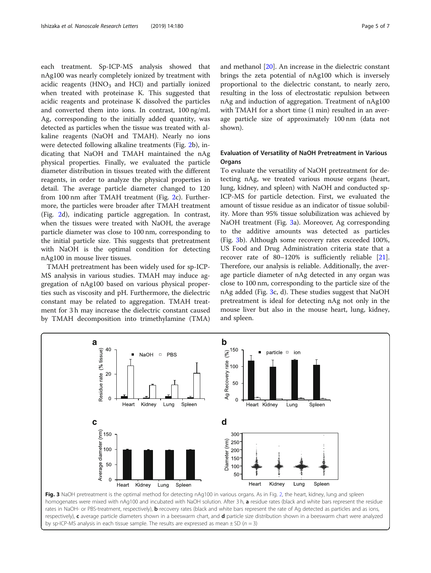each treatment. Sp-ICP-MS analysis showed that nAg100 was nearly completely ionized by treatment with acidic reagents  $(HNO<sub>3</sub>$  and HCl) and partially ionized when treated with proteinase K. This suggested that acidic reagents and proteinase K dissolved the particles and converted them into ions. In contrast, 100 ng/mL Ag, corresponding to the initially added quantity, was detected as particles when the tissue was treated with alkaline reagents (NaOH and TMAH). Nearly no ions were detected following alkaline treatments (Fig. [2](#page-3-0)b), indicating that NaOH and TMAH maintained the nAg physical properties. Finally, we evaluated the particle diameter distribution in tissues treated with the different reagents, in order to analyze the physical properties in detail. The average particle diameter changed to 120 from 100 nm after TMAH treatment (Fig. [2c](#page-3-0)). Furthermore, the particles were broader after TMAH treatment (Fig. [2](#page-3-0)d), indicating particle aggregation. In contrast, when the tissues were treated with NaOH, the average particle diameter was close to 100 nm, corresponding to the initial particle size. This suggests that pretreatment with NaOH is the optimal condition for detecting nAg100 in mouse liver tissues.

TMAH pretreatment has been widely used for sp-ICP-MS analysis in various studies. TMAH may induce aggregation of nAg100 based on various physical properties such as viscosity and pH. Furthermore, the dielectric constant may be related to aggregation. TMAH treatment for 3 h may increase the dielectric constant caused by TMAH decomposition into trimethylamine (TMA) and methanol [\[20](#page-6-0)]. An increase in the dielectric constant brings the zeta potential of nAg100 which is inversely proportional to the dielectric constant, to nearly zero, resulting in the loss of electrostatic repulsion between nAg and induction of aggregation. Treatment of nAg100 with TMAH for a short time (1 min) resulted in an average particle size of approximately 100 nm (data not shown).

## Evaluation of Versatility of NaOH Pretreatment in Various **Organs**

To evaluate the versatility of NaOH pretreatment for detecting nAg, we treated various mouse organs (heart, lung, kidney, and spleen) with NaOH and conducted sp-ICP-MS for particle detection. First, we evaluated the amount of tissue residue as an indicator of tissue solubility. More than 95% tissue solubilization was achieved by NaOH treatment (Fig. 3a). Moreover, Ag corresponding to the additive amounts was detected as particles (Fig. 3b). Although some recovery rates exceeded 100%, US Food and Drug Administration criteria state that a recover rate of 80–120% is sufficiently reliable [\[21](#page-6-0)]. Therefore, our analysis is reliable. Additionally, the average particle diameter of nAg detected in any organ was close to 100 nm, corresponding to the particle size of the nAg added (Fig. 3c, d). These studies suggest that NaOH pretreatment is ideal for detecting nAg not only in the mouse liver but also in the mouse heart, lung, kidney, and spleen.



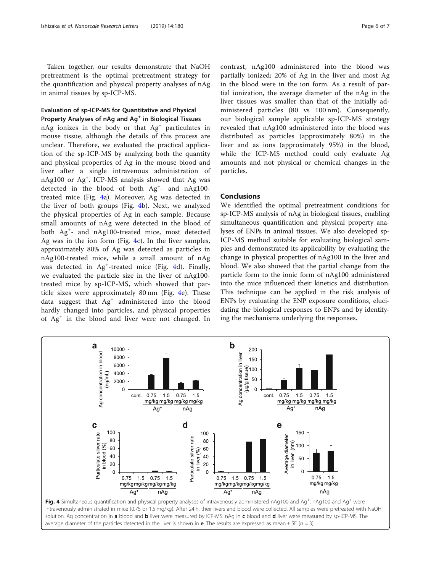Taken together, our results demonstrate that NaOH pretreatment is the optimal pretreatment strategy for the quantification and physical property analyses of nAg in animal tissues by sp-ICP-MS.

## Evaluation of sp-ICP-MS for Quantitative and Physical Property Analyses of nAg and Ag<sup>+</sup> in Biological Tissues

 $nAg$  ionizes in the body or that  $Ag<sup>+</sup>$  particulates in mouse tissue, although the details of this process are unclear. Therefore, we evaluated the practical application of the sp-ICP-MS by analyzing both the quantity and physical properties of Ag in the mouse blood and liver after a single intravenous administration of nAg100 or Ag<sup>+</sup> . ICP-MS analysis showed that Ag was detected in the blood of both Ag<sup>+</sup> - and nAg100 treated mice (Fig. 4a). Moreover, Ag was detected in the liver of both groups (Fig. 4b). Next, we analyzed the physical properties of Ag in each sample. Because small amounts of nAg were detected in the blood of both Ag<sup>+</sup> - and nAg100-treated mice, most detected Ag was in the ion form (Fig. 4c). In the liver samples, approximately 80% of Ag was detected as particles in nAg100-treated mice, while a small amount of nAg was detected in Ag<sup>+</sup>-treated mice (Fig. 4d). Finally, we evaluated the particle size in the liver of nAg100 treated mice by sp-ICP-MS, which showed that particle sizes were approximately 80 nm (Fig. 4e). These data suggest that Ag<sup>+</sup> administered into the blood hardly changed into particles, and physical properties of Ag<sup>+</sup> in the blood and liver were not changed. In

contrast, nAg100 administered into the blood was partially ionized; 20% of Ag in the liver and most Ag in the blood were in the ion form. As a result of partial ionization, the average diameter of the nAg in the liver tissues was smaller than that of the initially administered particles (80 vs 100 nm). Consequently, our biological sample applicable sp-ICP-MS strategy revealed that nAg100 administered into the blood was distributed as particles (approximately 80%) in the liver and as ions (approximately 95%) in the blood, while the ICP-MS method could only evaluate Ag amounts and not physical or chemical changes in the particles.

## **Conclusions**

We identified the optimal pretreatment conditions for sp-ICP-MS analysis of nAg in biological tissues, enabling simultaneous quantification and physical property analyses of ENPs in animal tissues. We also developed sp-ICP-MS method suitable for evaluating biological samples and demonstrated its applicability by evaluating the change in physical properties of nAg100 in the liver and blood. We also showed that the partial change from the particle form to the ionic form of nAg100 administered into the mice influenced their kinetics and distribution. This technique can be applied in the risk analysis of ENPs by evaluating the ENP exposure conditions, elucidating the biological responses to ENPs and by identifying the mechanisms underlying the responses.